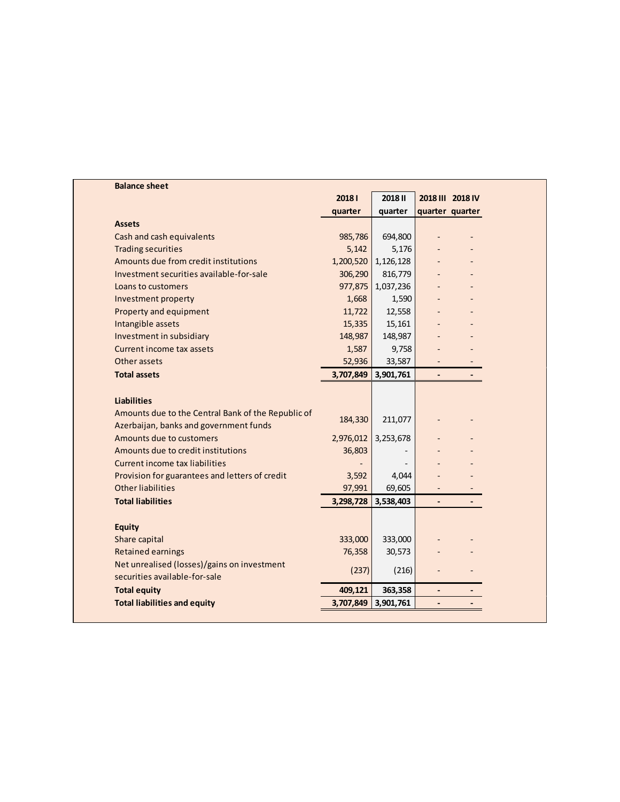| <b>Balance sheet</b>                               |           |                |                          |                  |
|----------------------------------------------------|-----------|----------------|--------------------------|------------------|
|                                                    | 20181     | <b>2018 II</b> |                          | 2018 III 2018 IV |
|                                                    | quarter   | quarter        |                          | quarter quarter  |
| <b>Assets</b>                                      |           |                |                          |                  |
| Cash and cash equivalents                          | 985,786   | 694,800        |                          |                  |
| <b>Trading securities</b>                          | 5,142     | 5,176          |                          |                  |
| Amounts due from credit institutions               | 1,200,520 | 1,126,128      |                          |                  |
| Investment securities available-for-sale           | 306,290   | 816,779        |                          |                  |
| Loans to customers                                 | 977,875   | 1,037,236      |                          |                  |
| Investment property                                | 1,668     | 1,590          |                          |                  |
| Property and equipment                             | 11,722    | 12,558         |                          |                  |
| Intangible assets                                  | 15,335    | 15,161         |                          |                  |
| Investment in subsidiary                           | 148,987   | 148,987        |                          |                  |
| Current income tax assets                          | 1,587     | 9,758          |                          |                  |
| Other assets                                       | 52,936    | 33,587         |                          |                  |
| <b>Total assets</b>                                | 3,707,849 | 3,901,761      | $\overline{\phantom{a}}$ |                  |
|                                                    |           |                |                          |                  |
| <b>Liabilities</b>                                 |           |                |                          |                  |
| Amounts due to the Central Bank of the Republic of | 184,330   | 211,077        |                          |                  |
| Azerbaijan, banks and government funds             |           |                |                          |                  |
| Amounts due to customers                           | 2,976,012 | 3,253,678      |                          |                  |
| Amounts due to credit institutions                 | 36,803    |                |                          |                  |
| <b>Current income tax liabilities</b>              |           |                |                          |                  |
| Provision for guarantees and letters of credit     | 3,592     | 4,044          |                          |                  |
| <b>Other liabilities</b>                           | 97,991    | 69,605         |                          |                  |
| <b>Total liabilities</b>                           | 3,298,728 | 3,538,403      | $\blacksquare$           |                  |
|                                                    |           |                |                          |                  |
| <b>Equity</b>                                      |           |                |                          |                  |
| Share capital                                      | 333,000   | 333,000        |                          |                  |
| <b>Retained earnings</b>                           | 76,358    | 30,573         |                          |                  |
| Net unrealised (losses)/gains on investment        | (237)     | (216)          | ÷,                       |                  |
| securities available-for-sale                      |           |                |                          |                  |
| <b>Total equity</b>                                | 409,121   | 363,358        | $\overline{\phantom{a}}$ |                  |
|                                                    |           | 3,901,761      |                          |                  |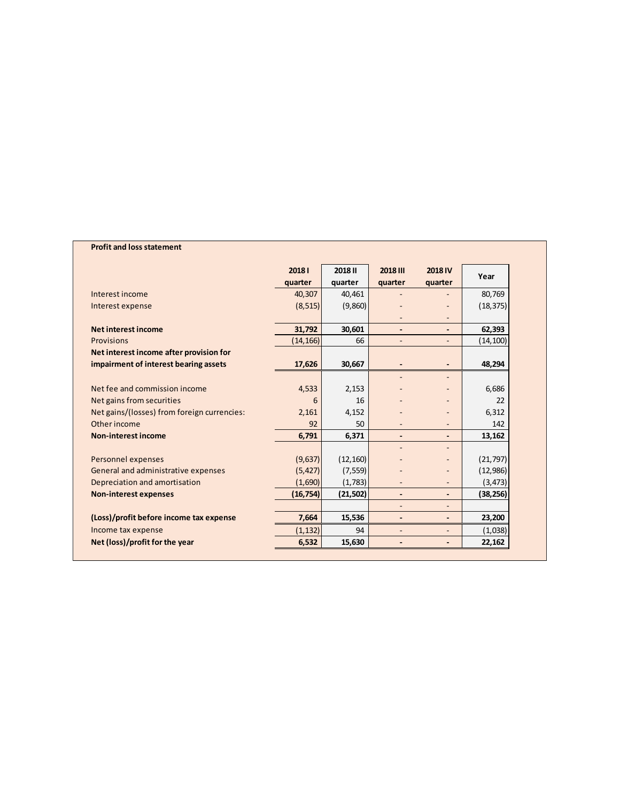## **Profit and loss statement**

|                                             | 20181     | <b>2018 II</b> | 2018 III                     | <b>2018 IV</b>           |           |  |
|---------------------------------------------|-----------|----------------|------------------------------|--------------------------|-----------|--|
|                                             | quarter   | quarter        | quarter                      | quarter                  | Year      |  |
| Interest income                             | 40,307    | 40,461         |                              |                          | 80,769    |  |
| Interest expense                            | (8, 515)  | (9,860)        |                              |                          | (18, 375) |  |
|                                             |           |                |                              |                          |           |  |
| <b>Net interest income</b>                  | 31,792    | 30,601         | $\qquad \qquad \blacksquare$ | $\blacksquare$           | 62,393    |  |
| <b>Provisions</b>                           | (14, 166) | 66             | $\overline{\phantom{a}}$     | $\overline{\phantom{a}}$ | (14, 100) |  |
| Net interest income after provision for     |           |                |                              |                          |           |  |
| impairment of interest bearing assets       | 17,626    | 30,667         |                              |                          | 48,294    |  |
|                                             |           |                |                              |                          |           |  |
| Net fee and commission income               | 4,533     | 2,153          |                              |                          | 6,686     |  |
| Net gains from securities                   | 6         | 16             |                              |                          | 22        |  |
| Net gains/(losses) from foreign currencies: | 2,161     | 4,152          |                              |                          | 6,312     |  |
| Other income                                | 92        | 50             |                              | $\qquad \qquad -$        | 142       |  |
| <b>Non-interest income</b>                  | 6,791     | 6,371          | $\overline{\phantom{a}}$     | $\overline{\phantom{a}}$ | 13,162    |  |
|                                             |           |                |                              |                          |           |  |
| Personnel expenses                          | (9,637)   | (12, 160)      |                              |                          | (21, 797) |  |
| General and administrative expenses         | (5, 427)  | (7, 559)       |                              |                          | (12,986)  |  |
| Depreciation and amortisation               | (1,690)   | (1,783)        |                              |                          | (3, 473)  |  |
| <b>Non-interest expenses</b>                | (16, 754) | (21, 502)      | $\overline{\phantom{a}}$     |                          | (38, 256) |  |
|                                             |           |                |                              |                          |           |  |
| (Loss)/profit before income tax expense     | 7,664     | 15,536         |                              | $\overline{\phantom{a}}$ | 23,200    |  |
| Income tax expense                          | (1, 132)  | 94             | $\overline{\phantom{a}}$     | $\overline{\phantom{a}}$ | (1,038)   |  |
| Net (loss)/profit for the year              | 6,532     | 15,630         |                              |                          | 22,162    |  |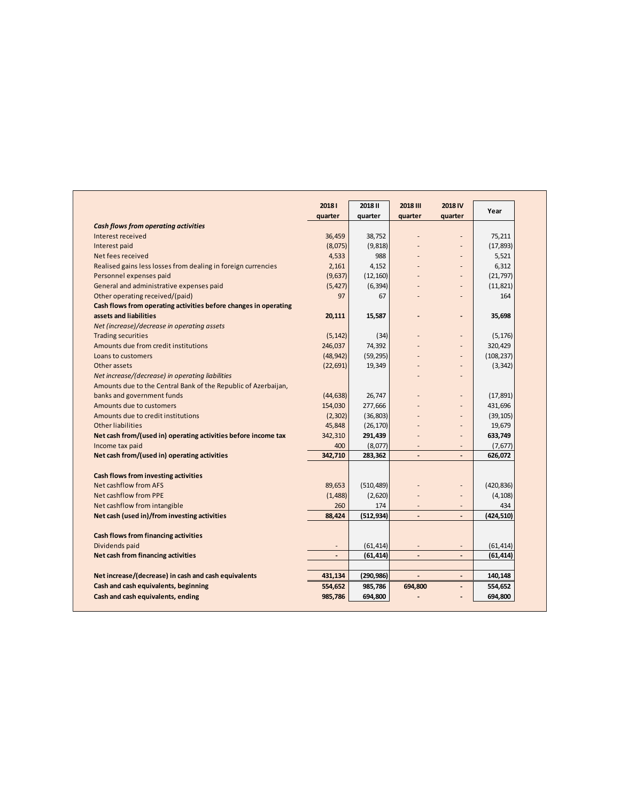|                                                                  | 20181     | 2018 II    | <b>2018 III</b>          | 2018 IV                  | Year       |
|------------------------------------------------------------------|-----------|------------|--------------------------|--------------------------|------------|
|                                                                  | quarter   | quarter    | quarter                  | quarter                  |            |
| <b>Cash flows from operating activities</b>                      |           |            |                          |                          |            |
| Interest received                                                | 36,459    | 38,752     |                          |                          | 75,211     |
| Interest paid                                                    | (8,075)   | (9,818)    |                          |                          | (17, 893)  |
| Net fees received                                                | 4,533     | 988        |                          |                          | 5,521      |
| Realised gains less losses from dealing in foreign currencies    | 2,161     | 4,152      |                          |                          | 6,312      |
| Personnel expenses paid                                          | (9,637)   | (12, 160)  |                          |                          | (21, 797)  |
| General and administrative expenses paid                         | (5, 427)  | (6, 394)   |                          |                          | (11, 821)  |
| Other operating received/(paid)                                  | 97        | 67         |                          |                          | 164        |
| Cash flows from operating activities before changes in operating |           |            |                          |                          |            |
| assets and liabilities                                           | 20,111    | 15,587     |                          | $\overline{a}$           | 35,698     |
| Net (increase)/decrease in operating assets                      |           |            |                          |                          |            |
| <b>Trading securities</b>                                        | (5, 142)  | (34)       |                          |                          | (5, 176)   |
| Amounts due from credit institutions                             | 246,037   | 74,392     |                          | $\overline{a}$           | 320,429    |
| Loans to customers                                               | (48, 942) | (59, 295)  |                          |                          | (108, 237) |
| Other assets                                                     | (22, 691) | 19,349     |                          |                          | (3, 342)   |
| Net increase/(decrease) in operating liabilities                 |           |            |                          |                          |            |
| Amounts due to the Central Bank of the Republic of Azerbaijan,   |           |            |                          |                          |            |
| banks and government funds                                       | (44, 638) | 26,747     |                          |                          | (17, 891)  |
| Amounts due to customers                                         | 154,030   | 277,666    |                          | $\overline{\phantom{a}}$ | 431,696    |
| Amounts due to credit institutions                               | (2,302)   | (36, 803)  |                          |                          | (39, 105)  |
| <b>Other liabilities</b>                                         | 45,848    | (26, 170)  |                          |                          | 19,679     |
| Net cash from/(used in) operating activities before income tax   | 342,310   | 291,439    |                          | $\overline{a}$           | 633,749    |
| Income tax paid                                                  | 400       | (8,077)    |                          |                          | (7, 677)   |
| Net cash from/(used in) operating activities                     | 342,710   | 283,362    | $\overline{a}$           |                          | 626,072    |
|                                                                  |           |            |                          |                          |            |
| Cash flows from investing activities                             |           |            |                          |                          |            |
| Net cashflow from AFS                                            | 89,653    | (510, 489) |                          | $\overline{\phantom{a}}$ | (420, 836) |
| Net cashflow from PPE                                            | (1, 488)  | (2,620)    |                          |                          | (4, 108)   |
| Net cashflow from intangible                                     | 260       | 174        |                          |                          | 434        |
| Net cash (used in)/from investing activities                     | 88,424    | (512, 934) | $\overline{\phantom{a}}$ | $\overline{\phantom{a}}$ | (424, 510) |
|                                                                  |           |            |                          |                          |            |
| <b>Cash flows from financing activities</b>                      |           |            |                          |                          |            |
| Dividends paid                                                   |           | (61, 414)  |                          | $\overline{\phantom{a}}$ | (61, 414)  |
| Net cash from financing activities                               |           | (61, 414)  | $\overline{a}$           |                          | (61, 414)  |
| Net increase/(decrease) in cash and cash equivalents             | 431,134   | (290, 986) | $\overline{\phantom{a}}$ | $\overline{a}$           | 140,148    |
| Cash and cash equivalents, beginning                             | 554,652   | 985,786    | 694,800                  |                          | 554,652    |
|                                                                  |           |            |                          |                          |            |